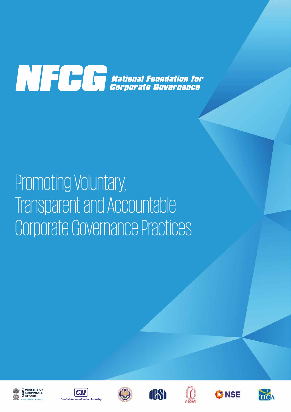

## Promoting Voluntary, Transparent and Accountable Corporate Governance Practices













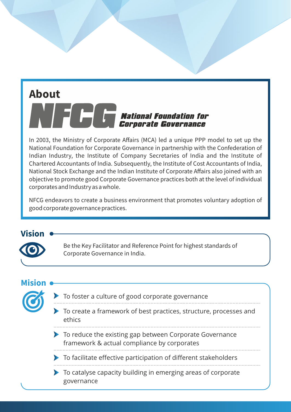# **About North Communist Constant Constant Constant Constant Constant Constant Constant Constant Constant Constant Constant Constant Constant Constant Constant Constant Constant Constant Constant Constant Constant Constant Constan**

In 2003, the Ministry of Corporate Affairs (MCA) led a unique PPP model to set up the National Foundation for Corporate Governance in partnership with the Confederation of Indian Industry, the Institute of Company Secretaries of India and the Institute of Chartered Accountants of India. Subsequently, the Institute of Cost Accountants of India, National Stock Exchange and the Indian Institute of Corporate Affairs also joined with an objective to promote good Corporate Governance practices both at the level of individual corporates and Industry as a whole.

NFCG endeavors to create a business environment that promotes voluntary adoption of good corporate governance practices.

#### **Vision**



Be the Key Facilitator and Reference Point for highest standards of Corporate Governance in India.

#### **Mision**

- To foster a culture of good corporate governance
- To create a framework of best practices, structure, processes and ethics
- To reduce the existing gap between Corporate Governance framework & actual compliance by corporates
- To facilitate effective participation of different stakeholders
- To catalyse capacity building in emerging areas of corporate governance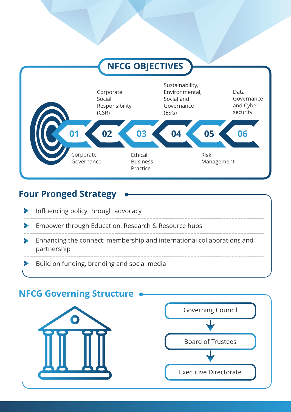

## **Four Pronged Strategy**



# **NFCG Governing Structure** Governing Council Board of Trustees Executive Directorate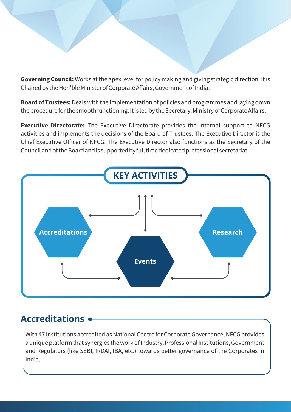**Governing Council:** Works at the apex level for policy making and giving strategic direction. It is Chaired by the Hon'ble Minister of Corporate Affairs, Government of India.

**Board of Trustees:**Deals with the implementation of policies and programmes and laying down the procedure for the smooth functioning. It is led by the Secretary, Ministry of Corporate Affairs.

**Executive Directorate:** The Executive Directorate provides the internal support to NFCG activities and implements the decisions of the Board of Trustees. The Executive Director is the Chief Executive Officer of NFCG. The Executive Director also functions as the Secretary of the Council and of the Board and is supported by full time dedicated professional secretariat.



### **Accreditations**

With 47 Institutions accredited as National Centre for Corporate Governance, NFCG provides a unique platform that synergies the work of Industry, Professional Institutions, Government and Regulators (like SEBI, IRDAI, IBA, etc.) towards better governance of the Corporates in India.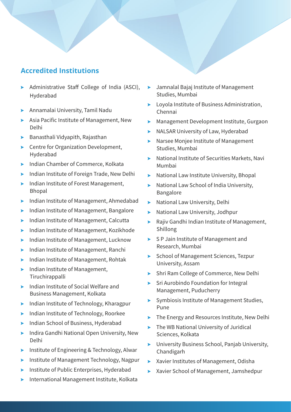#### **Accredited Institutions**

- > Administrative Staff College of India (ASCI), Hyderabad
- ? Annamalai University, Tamil Nadu
- **>** Asia Pacific Institute of Management, New Delhi
- $\blacktriangleright$  Banasthali Vidyapith, Rajasthan
- **EX Centre for Organization Development,** Hyderabad
- **EXECUTE: Indian Chamber of Commerce, Kolkata**
- **EXECUTE:** Indian Institute of Foreign Trade, New Delhi
- **Philter institute of Forest Management,** Bhopal
- ? Indian Institute of Management, Ahmedabad
- **Indian Institute of Management, Bangalore**
- **Indian Institute of Management, Calcutta**
- **> Indian Institute of Management, Kozikhode**
- ? Indian Institute of Management, Lucknow
- ? Indian Institute of Management, Ranchi
- ? Indian Institute of Management, Rohtak
- Indian Institute of Management, Tiruchirappalli
- ? Indian Institute of Social Welfare and Business Management, Kolkata
- ? Indian Institute of Technology, Kharagpur
- **EXECUTE:** Indian Institute of Technology, Roorkee
- **EX Indian School of Business, Hyderabad**
- **Indira Gandhi National Open University, New** Delhi
- Institute of Engineering & Technology, Alwar
- **EXECUTE:** Institute of Management Technology, Nagpur
- Institute of Public Enterprises, Hyderabad
- ? International Management Institute, Kolkata
- ? Jamnalal Bajaj Institute of Management Studies, Mumbai
- ▶ Loyola Institute of Business Administration, Chennai
- **>** Management Development Institute, Gurgaon
- **> NALSAR University of Law, Hyderabad**
- **>** Narsee Monjee Institute of Management Studies, Mumbai
- ? National Institute of Securities Markets, Navi Mumbai
- **>** National Law Institute University, Bhopal
- **>** National Law School of India University, Bangalore
- **>** National Law University, Delhi
- **> National Law University, Jodhpur**
- ▶ Rajiv Gandhi Indian Institute of Management, Shillong
- ▶ S P Jain Institute of Management and Research, Mumbai
- **>** School of Management Sciences, Tezpur University, Assam
- **>** Shri Ram College of Commerce, New Delhi
- **>** Sri Aurobindo Foundation for Integral Management, Puducherry
- **>** Symbiosis Institute of Management Studies, Pune
- The Energy and Resources Institute, New Delhi
- $\blacktriangleright$  The WB National University of Juridical Sciences, Kolkata
- **>** University Business School, Panjab University, Chandigarh
- ? Xavier Institutes of Management, Odisha
- ? Xavier School of Management, Jamshedpur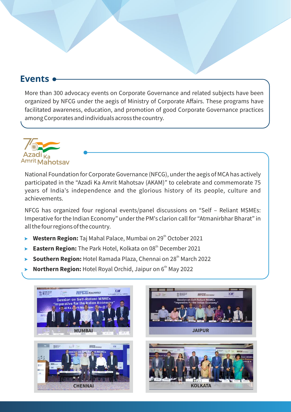#### **Events**

More than 300 advocacy events on Corporate Governance and related subjects have been organized by NFCG under the aegis of Ministry of Corporate Affairs. These programs have facilitated awareness, education, and promotion of good Corporate Governance practices among Corporates and individuals across the country.



National Foundation for Corporate Governance (NFCG), under the aegis of MCA has actively participated in the "Azadi Ka Amrit Mahotsav (AKAM)" to celebrate and commemorate 75 years of India's independence and the glorious history of its people, culture and achievements.

NFCG has organized four regional events/panel discussions on "Self – Reliant MSMEs: Imperative for the Indian Economy" under the PM's clarion call for "Atmanirbhar Bharat" in all the four regions of the country.

- ? **Western Region:** Taj Mahal Palace, Mumbai on 29<sup>th</sup> October 2021
- ? **Eastern Region:** The Park Hotel, Kolkata on 08<sup>th</sup> December 2021
- ? **Southern Region:** Hotel Ramada Plaza, Chennai on 28<sup>th</sup> March 2022
- ? **Northern Region:** Hotel Royal Orchid, Jaipur on 6<sup>th</sup> May 2022

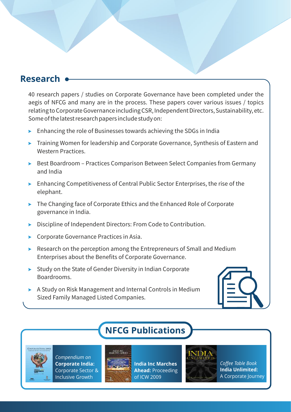#### **Research**

40 research papers / studies on Corporate Governance have been completed under the aegis of NFCG and many are in the process. These papers cover various issues / topics relating to Corporate Governance including CSR, Independent Directors, Sustainability, etc. Some of the latest research papers include study on:

- $\blacktriangleright$  Enhancing the role of Businesses towards achieving the SDGs in India
- **EXECT** Training Women for leadership and Corporate Governance, Synthesis of Eastern and Western Practices.
- ▶ Best Boardroom Practices Comparison Between Select Companies from Germany and India
- **Enhancing Competitiveness of Central Public Sector Enterprises, the rise of the** elephant.
- The Changing face of Corporate Ethics and the Enhanced Role of Corporate governance in India.
- **Discipline of Independent Directors: From Code to Contribution.**
- **EXECO PERICA COVERTER CORPORTED EXECUTE:** Corporate Governance Practices in Asia.
- $\triangleright$  Research on the perception among the Entrepreneurs of Small and Medium Enterprises about the Benefits of Corporate Governance.
- $\triangleright$  Study on the State of Gender Diversity in Indian Corporate Boardrooms.
- ? A Study on Risk Management and Internal Controls in Medium Sized Family Managed Listed Companies.

## **NFCG Publications**



*Compendium on* **Corporate India:** Corporate Sector & Inclusive Growth



**India Inc Marches Ahead:** Proceeding of ICW 2009



*Coffee Table Book* **India Unlimited:** A Corporate Journey